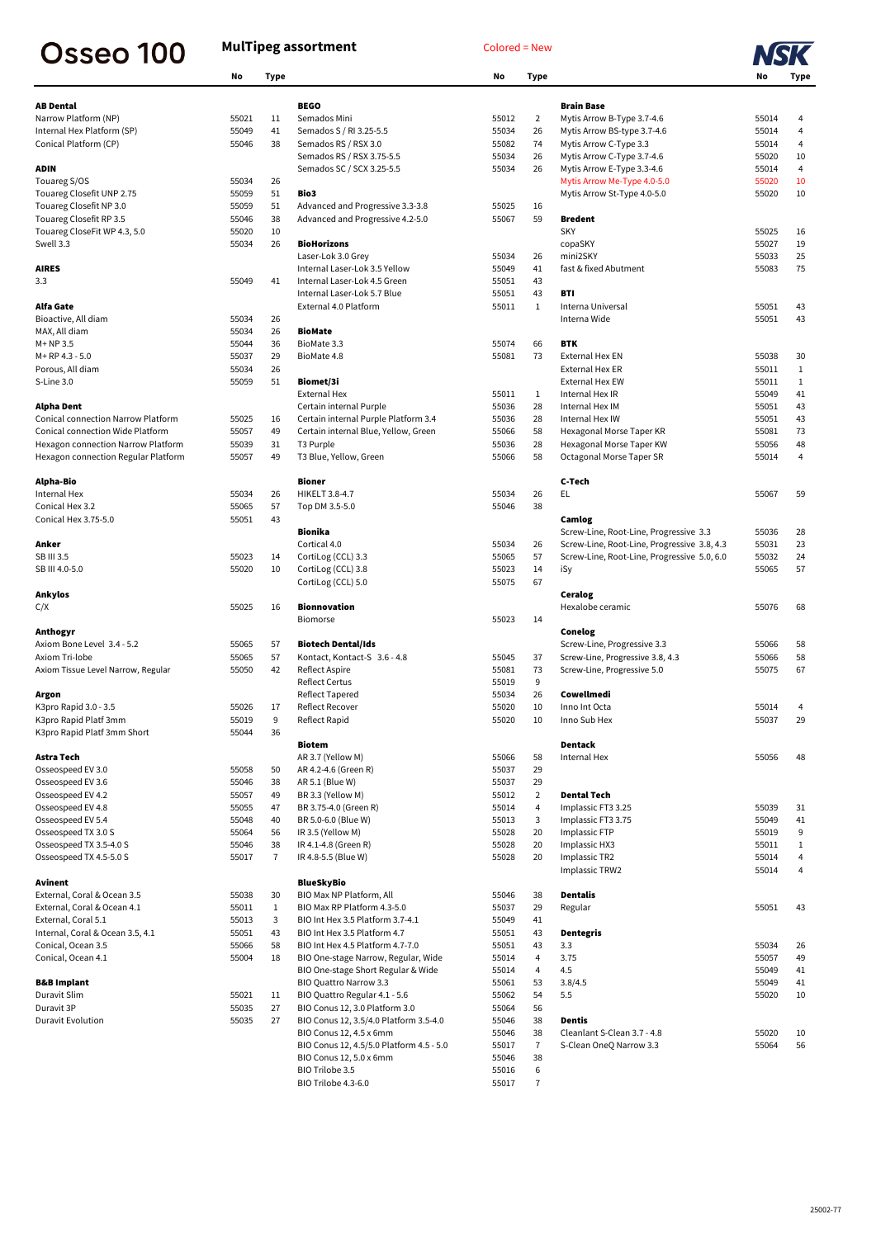## Osseo 100

## **MulTipeg assortment** Colored = New



|                                           | No    | <b>Type</b>    |                                      | No    | <b>Type</b>    |                                             | No             | Type                             |
|-------------------------------------------|-------|----------------|--------------------------------------|-------|----------------|---------------------------------------------|----------------|----------------------------------|
| <b>AB Dental</b>                          |       |                | <b>BEGO</b>                          |       |                | <b>Brain Base</b>                           |                |                                  |
| Narrow Platform (NP)                      | 55021 | 11             | Semados Mini                         | 55012 | $\overline{2}$ | Mytis Arrow B-Type 3.7-4.6                  | 55014          | 4                                |
| Internal Hex Platform (SP)                | 55049 | 41             | Semados S / RI 3.25-5.5              | 55034 | 26             | Mytis Arrow BS-type 3.7-4.6                 | 55014          | 4                                |
| Conical Platform (CP)                     | 55046 | 38             | Semados RS / RSX 3.0                 | 55082 | 74             | Mytis Arrow C-Type 3.3                      | 55014          | 4                                |
|                                           |       |                | Semados RS / RSX 3.75-5.5            | 55034 | 26             | Mytis Arrow C-Type 3.7-4.6                  | 55020          | 10                               |
| <b>ADIN</b>                               |       |                | Semados SC / SCX 3.25-5.5            | 55034 | 26             | Mytis Arrow E-Type 3.3-4.6                  | 55014          | $\overline{4}$                   |
| Touareg S/OS                              | 55034 | 26             |                                      |       |                | Mytis Arrow Me-Type 4.0-5.0                 | 55020          | 10                               |
|                                           |       |                | Bio3                                 |       |                |                                             |                |                                  |
| Touareg Closefit UNP 2.75                 | 55059 | 51             |                                      |       |                | Mytis Arrow St-Type 4.0-5.0                 | 55020          | 10                               |
| Touareg Closefit NP 3.0                   | 55059 | 51             | Advanced and Progressive 3.3-3.8     | 55025 | 16             |                                             |                |                                  |
| Touareg Closefit RP 3.5                   | 55046 | 38             | Advanced and Progressive 4.2-5.0     | 55067 | 59             | <b>Bredent</b>                              |                |                                  |
| Touareg CloseFit WP 4.3, 5.0              | 55020 | 10             |                                      |       |                | <b>SKY</b>                                  | 55025          | 16                               |
| Swell 3.3                                 | 55034 | 26             | <b>BioHorizons</b>                   |       |                | copaSKY                                     | 55027          | 19                               |
|                                           |       |                | Laser-Lok 3.0 Grey                   | 55034 | 26             | mini2SKY                                    | 55033          | 25                               |
| <b>AIRES</b>                              |       |                | Internal Laser-Lok 3.5 Yellow        | 55049 | 41             | fast & fixed Abutment                       | 55083          | 75                               |
| 3.3                                       | 55049 | 41             | Internal Laser-Lok 4.5 Green         | 55051 | 43             |                                             |                |                                  |
|                                           |       |                | Internal Laser-Lok 5.7 Blue          | 55051 | 43             | <b>BTI</b>                                  |                |                                  |
| <b>Alfa Gate</b>                          |       |                | External 4.0 Platform                | 55011 | $\mathbf{1}$   | Interna Universal                           | 55051          | 43                               |
| Bioactive, All diam                       | 55034 | 26             |                                      |       |                | Interna Wide                                | 55051          | 43                               |
| MAX, All diam                             | 55034 | 26             | <b>BioMate</b>                       |       |                |                                             |                |                                  |
| $M+NP3.5$                                 | 55044 | 36             | BioMate 3.3                          | 55074 | 66             | <b>BTK</b>                                  |                |                                  |
| M+RP 4.3 - 5.0                            | 55037 | 29             | BioMate 4.8                          | 55081 | 73             | <b>External Hex EN</b>                      | 55038          | 30                               |
| Porous, All diam                          | 55034 | 26             |                                      |       |                | <b>External Hex ER</b>                      | 55011          | 1                                |
| S-Line 3.0                                | 55059 | 51             | Biomet/3i                            |       |                | <b>External Hex EW</b>                      | 55011          | $\mathbf{1}$                     |
|                                           |       |                | <b>External Hex</b>                  | 55011 | $\mathbf{1}$   | Internal Hex IR                             | 55049          | 41                               |
|                                           |       |                |                                      |       |                | Internal Hex IM                             |                |                                  |
| <b>Alpha Dent</b>                         |       |                | Certain internal Purple              | 55036 | 28             |                                             | 55051          | 43                               |
| <b>Conical connection Narrow Platform</b> | 55025 | 16             | Certain internal Purple Platform 3.4 | 55036 | 28             | Internal Hex IW                             | 55051          | 43                               |
| <b>Conical connection Wide Platform</b>   | 55057 | 49             | Certain internal Blue, Yellow, Green | 55066 | 58             | Hexagonal Morse Taper KR                    | 55081          | 73                               |
| Hexagon connection Narrow Platform        | 55039 | 31             | T <sub>3</sub> Purple                | 55036 | 28             | Hexagonal Morse Taper KW                    | 55056          | 48                               |
| Hexagon connection Regular Platform       | 55057 | 49             | T3 Blue, Yellow, Green               | 55066 | 58             | Octagonal Morse Taper SR                    | 55014          | 4                                |
| <b>Alpha-Bio</b>                          |       |                | <b>Bioner</b>                        |       |                | C-Tech                                      |                |                                  |
| Internal Hex                              | 55034 | 26             | <b>HIKELT 3.8-4.7</b>                | 55034 | 26             | EL                                          | 55067          | 59                               |
| Conical Hex 3.2                           | 55065 | 57             | Top DM 3.5-5.0                       | 55046 | 38             |                                             |                |                                  |
| Conical Hex 3.75-5.0                      | 55051 | 43             |                                      |       |                | Camlog                                      |                |                                  |
|                                           |       |                | <b>Bionika</b>                       |       |                | Screw-Line, Root-Line, Progressive 3.3      | 55036          | 28                               |
| Anker                                     |       |                | Cortical 4.0                         | 55034 | 26             | Screw-Line, Root-Line, Progressive 3.8, 4.3 | 55031          | 23                               |
| SB III 3.5                                | 55023 | 14             | CortiLog (CCL) 3.3                   | 55065 | 57             | Screw-Line, Root-Line, Progressive 5.0, 6.0 | 55032          | 24                               |
| SB III 4.0-5.0                            | 55020 | 10             | CortiLog (CCL) 3.8                   | 55023 | 14             | iSy                                         | 55065          | 57                               |
|                                           |       |                | CortiLog (CCL) 5.0                   | 55075 | 67             |                                             |                |                                  |
| <b>Ankylos</b>                            |       |                |                                      |       |                | <b>Ceralog</b>                              |                |                                  |
|                                           | 55025 | 16             | <b>Bionnovation</b>                  |       |                | Hexalobe ceramic                            |                |                                  |
| C/X                                       |       |                |                                      |       |                |                                             | 55076          | 68                               |
|                                           |       |                | Biomorse                             | 55023 | 14             |                                             |                |                                  |
| Anthogyr                                  |       |                |                                      |       |                | <b>Conelog</b>                              |                |                                  |
| Axiom Bone Level 3.4 - 5.2                | 55065 | 57             | <b>Biotech Dental/Ids</b>            |       |                | Screw-Line, Progressive 3.3                 | 55066          | 58                               |
| Axiom Tri-lobe                            | 55065 | 57             | Kontact, Kontact-S 3.6 - 4.8         | 55045 | 37             | Screw-Line, Progressive 3.8, 4.3            | 55066          | 58                               |
| Axiom Tissue Level Narrow, Regular        | 55050 | 42             | Reflect Aspire                       | 55081 | 73             | Screw-Line, Progressive 5.0                 | 55075          | 67                               |
|                                           |       |                | <b>Reflect Certus</b>                | 55019 | 9              |                                             |                |                                  |
| Argon                                     |       |                | Reflect Tapered                      | 55034 | 26             | Cowellmedi                                  |                |                                  |
| K3pro Rapid 3.0 - 3.5                     | 55026 | 17             | Reflect Recover                      | 55020 | 10             | Inno Int Octa                               | 55014          | 4                                |
| K3pro Rapid Platf 3mm                     | 55019 | 9              | Reflect Rapid                        | 55020 | 10             | Inno Sub Hex                                | 55037          | 29                               |
| K3pro Rapid Platf 3mm Short               | 55044 | 36             |                                      |       |                |                                             |                |                                  |
| <b>Astra Tech</b>                         |       |                | <b>Biotem</b><br>AR 3.7 (Yellow M)   | 55066 | 58             | <b>Dentack</b><br>Internal Hex              | 55056          | 48                               |
| Osseospeed EV 3.0                         | 55058 | 50             | AR 4.2-4.6 (Green R)                 | 55037 | 29             |                                             |                |                                  |
| Osseospeed EV 3.6                         | 55046 | 38             | AR 5.1 (Blue W)                      | 55037 | 29             |                                             |                |                                  |
| Osseospeed EV 4.2                         | 55057 | 49             | BR 3.3 (Yellow M)                    | 55012 | $\overline{2}$ | <b>Dental Tech</b>                          |                |                                  |
| Osseospeed EV 4.8                         |       | 47             |                                      |       |                |                                             | 55039          |                                  |
|                                           | 55055 |                | BR 3.75-4.0 (Green R)                | 55014 | 4              | Implassic FT3 3.25                          |                | 31                               |
| Osseospeed EV 5.4                         | 55048 | 40             | BR 5.0-6.0 (Blue W)                  | 55013 | 3              | Implassic FT3 3.75                          | 55049          | 41                               |
| Osseospeed TX 3.0 S                       | 55064 | 56             | IR 3.5 (Yellow M)                    | 55028 | 20             | Implassic FTP                               | 55019          | 9                                |
| Osseospeed TX 3.5-4.0 S                   | 55046 | 38             | IR 4.1-4.8 (Green R)                 | 55028 | 20             | Implassic HX3                               | 55011          | $\mathbf{1}$                     |
| Osseospeed TX 4.5-5.0 S                   | 55017 | $\overline{7}$ | IR 4.8-5.5 (Blue W)                  | 55028 | 20             | Implassic TR2<br>Implassic TRW2             | 55014<br>55014 | $\overline{4}$<br>$\overline{4}$ |
| Avinent                                   |       |                | <b>BlueSkyBio</b>                    |       |                |                                             |                |                                  |
| External, Coral & Ocean 3.5               | 55038 | 30             | BIO Max NP Platform, All             | 55046 | 38             | <b>Dentalis</b>                             |                |                                  |
| External, Coral & Ocean 4.1               | 55011 | $\mathbf{1}$   | BIO Max RP Platform 4.3-5.0          | 55037 | 29             | Regular                                     | 55051          | 43                               |
| External, Coral 5.1                       | 55013 | 3              | BIO Int Hex 3.5 Platform 3.7-4.1     | 55049 | 41             |                                             |                |                                  |
|                                           |       |                |                                      |       |                |                                             |                |                                  |

| Internal, Coral & Ocean 3.5, 4.1 | 55051 | 43 | BIO Int Hex 3.5 Platform 4.7             | 55051 | 43 | <b>Dentegris</b>            |       |     |
|----------------------------------|-------|----|------------------------------------------|-------|----|-----------------------------|-------|-----|
| Conical, Ocean 3.5               | 55066 | 58 | BIO Int Hex 4.5 Platform 4.7-7.0         | 55051 | 43 | 3.3                         | 55034 | 26  |
| Conical, Ocean 4.1               | 55004 | 18 | BIO One-stage Narrow, Regular, Wide      | 55014 | 4  | 3.75                        | 55057 | -49 |
|                                  |       |    | BIO One-stage Short Regular & Wide       | 55014 | 4  | 4.5                         | 55049 | -41 |
| <b>B&amp;B Implant</b>           |       |    | BIO Quattro Narrow 3.3                   | 55061 | 53 | 3.8/4.5                     | 55049 | -41 |
| Duravit Slim                     | 55021 | 11 | BIO Quattro Regular 4.1 - 5.6            | 55062 | 54 | 5.5                         | 55020 | 10  |
| Duravit 3P                       | 55035 | 27 | BIO Conus 12, 3.0 Platform 3.0           | 55064 | 56 |                             |       |     |
| Duravit Evolution                | 55035 | 27 | BIO Conus 12, 3.5/4.0 Platform 3.5-4.0   | 55046 | 38 | <b>Dentis</b>               |       |     |
|                                  |       |    | BIO Conus 12, 4.5 x 6mm                  | 55046 | 38 | Cleanlant S-Clean 3.7 - 4.8 | 55020 | 10  |
|                                  |       |    | BIO Conus 12, 4.5/5.0 Platform 4.5 - 5.0 | 55017 |    | S-Clean OneO Narrow 3.3     | 55064 | 56  |
|                                  |       |    | BIO Conus 12, 5.0 x 6mm                  | 55046 | 38 |                             |       |     |
|                                  |       |    | BIO Trilobe 3.5                          | 55016 | 6  |                             |       |     |
|                                  |       |    | <b>BIO Trilobe 4.3-6.0</b>               | 55017 |    |                             |       |     |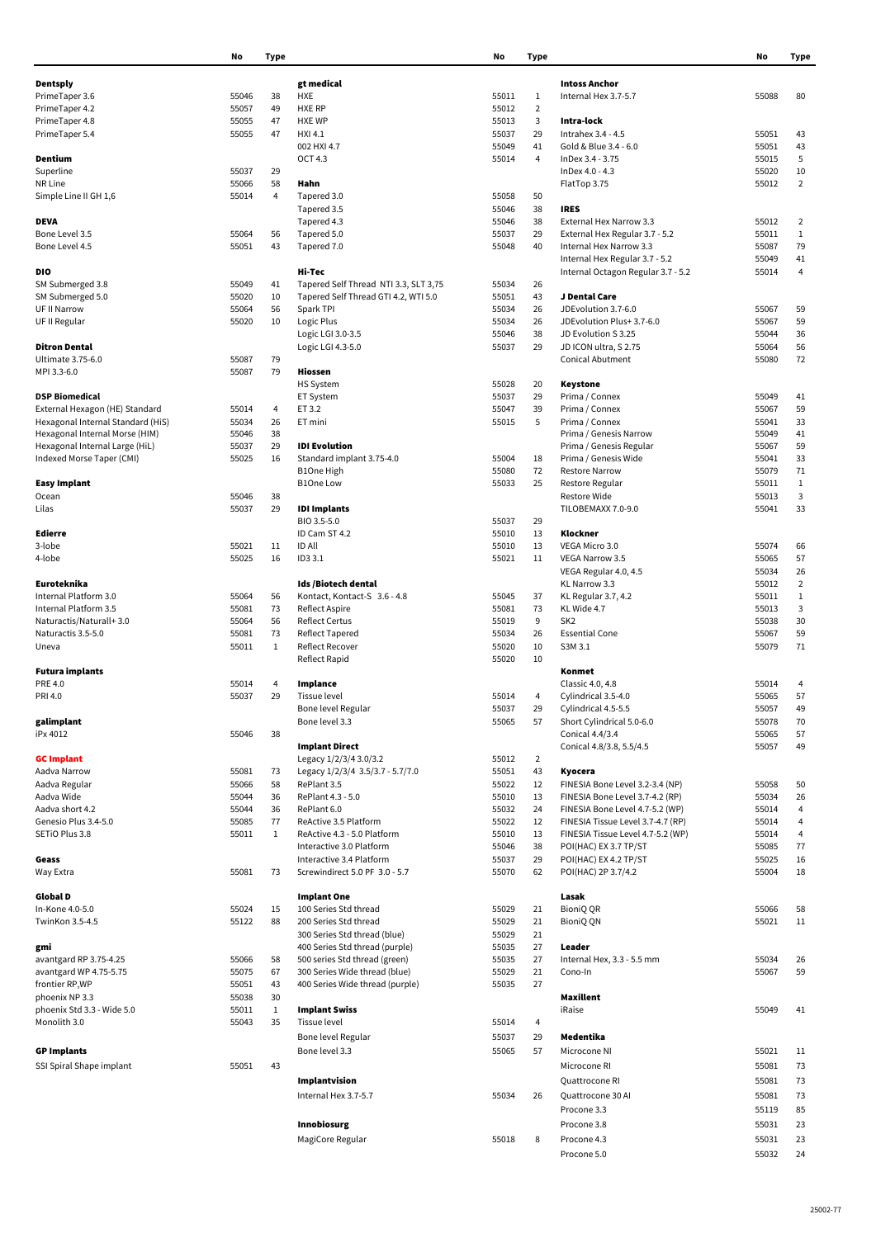|                                   | No    | <b>Type</b>  |                                       | No    | <b>Type</b>    |                                    | No    | <b>Type</b>    |
|-----------------------------------|-------|--------------|---------------------------------------|-------|----------------|------------------------------------|-------|----------------|
|                                   |       |              |                                       |       |                |                                    |       |                |
| <b>Dentsply</b>                   |       |              | gt medical                            |       |                | <b>Intoss Anchor</b>               |       |                |
| PrimeTaper 3.6                    | 55046 | 38           | <b>HXE</b>                            | 55011 | 1              | Internal Hex 3.7-5.7               | 55088 | 80             |
| PrimeTaper 4.2                    | 55057 | 49           | <b>HXE RP</b>                         | 55012 | $\overline{2}$ |                                    |       |                |
| PrimeTaper 4.8                    | 55055 | 47           | <b>HXE WP</b>                         | 55013 | 3              | Intra-lock                         |       |                |
| PrimeTaper 5.4                    | 55055 | 47           | <b>HXI 4.1</b>                        | 55037 | 29             | Intrahex 3.4 - 4.5                 | 55051 | 43             |
|                                   |       |              | 002 HXI 4.7                           | 55049 | 41             | Gold & Blue 3.4 - 6.0              | 55051 | 43             |
| Dentium                           |       |              | <b>OCT 4.3</b>                        | 55014 | 4              | InDex 3.4 - 3.75                   | 55015 | 5              |
| Superline                         | 55037 | 29           |                                       |       |                | InDex 4.0 - 4.3                    | 55020 | 10             |
| NR Line                           | 55066 | 58           | Hahn                                  |       |                | FlatTop 3.75                       | 55012 | $\overline{2}$ |
|                                   |       |              |                                       |       |                |                                    |       |                |
| Simple Line II GH 1,6             | 55014 | 4            | Tapered 3.0                           | 55058 | 50             |                                    |       |                |
|                                   |       |              | Tapered 3.5                           | 55046 | 38             | <b>IRES</b>                        |       |                |
| <b>DEVA</b>                       |       |              | Tapered 4.3                           | 55046 | 38             | External Hex Narrow 3.3            | 55012 | $\overline{2}$ |
| Bone Level 3.5                    | 55064 | 56           | Tapered 5.0                           | 55037 | 29             | External Hex Regular 3.7 - 5.2     | 55011 | $\mathbf{1}$   |
| Bone Level 4.5                    | 55051 | 43           | Tapered 7.0                           | 55048 | 40             | Internal Hex Narrow 3.3            | 55087 | 79             |
|                                   |       |              |                                       |       |                | Internal Hex Regular 3.7 - 5.2     | 55049 | 41             |
| <b>DIO</b>                        |       |              | Hi-Tec                                |       |                | Internal Octagon Regular 3.7 - 5.2 | 55014 | 4              |
| SM Submerged 3.8                  | 55049 | 41           | Tapered Self Thread NTI 3.3, SLT 3,75 | 55034 | 26             |                                    |       |                |
| SM Submerged 5.0                  | 55020 | 10           | Tapered Self Thread GTI 4.2, WTI 5.0  | 55051 | 43             | J Dental Care                      |       |                |
| UF II Narrow                      | 55064 | 56           | Spark TPI                             | 55034 | 26             | JDEvolution 3.7-6.0                | 55067 | 59             |
|                                   |       |              |                                       | 55034 | 26             | JDEvolution Plus+ 3.7-6.0          | 55067 | 59             |
| UF II Regular                     | 55020 | 10           | Logic Plus                            |       |                |                                    |       |                |
|                                   |       |              | Logic LGI 3.0-3.5                     | 55046 | 38             | JD Evolution S 3.25                | 55044 | 36             |
| <b>Ditron Dental</b>              |       |              | Logic LGI 4.3-5.0                     | 55037 | 29             | JD ICON ultra, S 2.75              | 55064 | 56             |
| Ultimate 3.75-6.0                 | 55087 | 79           |                                       |       |                | <b>Conical Abutment</b>            | 55080 | 72             |
| MPI 3.3-6.0                       | 55087 | 79           | <b>Hiossen</b>                        |       |                |                                    |       |                |
|                                   |       |              | <b>HS System</b>                      | 55028 | 20             | <b>Keystone</b>                    |       |                |
| <b>DSP Biomedical</b>             |       |              | ET System                             | 55037 | 29             | Prima / Connex                     | 55049 | 41             |
| External Hexagon (HE) Standard    | 55014 | 4            | ET 3.2                                | 55047 | 39             | Prima / Connex                     | 55067 | 59             |
| Hexagonal Internal Standard (HiS) | 55034 | 26           | ET mini                               | 55015 | 5              | Prima / Connex                     | 55041 | 33             |
| Hexagonal Internal Morse (HIM)    | 55046 | 38           |                                       |       |                | Prima / Genesis Narrow             | 55049 | 41             |
| Hexagonal Internal Large (HiL)    | 55037 | 29           | <b>IDI</b> Evolution                  |       |                | Prima / Genesis Regular            | 55067 | 59             |
|                                   | 55025 |              |                                       | 55004 |                | Prima / Genesis Wide               | 55041 | 33             |
| Indexed Morse Taper (CMI)         |       | 16           | Standard implant 3.75-4.0             |       | 18             |                                    |       |                |
|                                   |       |              | B1One High                            | 55080 | 72             | <b>Restore Narrow</b>              | 55079 | 71             |
| <b>Easy Implant</b>               |       |              | <b>B1One Low</b>                      | 55033 | 25             | Restore Regular                    | 55011 | 1              |
| Ocean                             | 55046 | 38           |                                       |       |                | Restore Wide                       | 55013 | 3              |
| Lilas                             | 55037 | 29           | <b>IDI Implants</b>                   |       |                | TILOBEMAXX 7.0-9.0                 | 55041 | 33             |
|                                   |       |              | BIO 3.5-5.0                           | 55037 | 29             |                                    |       |                |
| <b>Edierre</b>                    |       |              | ID Cam ST 4.2                         | 55010 | 13             | Klockner                           |       |                |
| 3-lobe                            | 55021 | 11           | <b>ID All</b>                         | 55010 | 13             | VEGA Micro 3.0                     | 55074 | 66             |
| 4-lobe                            | 55025 | 16           | ID3 3.1                               | 55021 | 11             | <b>VEGA Narrow 3.5</b>             | 55065 | 57             |
|                                   |       |              |                                       |       |                | VEGA Regular 4.0, 4.5              | 55034 | 26             |
| Euroteknika                       |       |              | Ids /Biotech dental                   |       |                | KL Narrow 3.3                      | 55012 | $\overline{2}$ |
| Internal Platform 3.0             | 55064 | 56           | Kontact, Kontact-S 3.6 - 4.8          | 55045 | 37             | KL Regular 3.7, 4.2                | 55011 | $\mathbf{1}$   |
| Internal Platform 3.5             |       |              |                                       |       | 73             | KL Wide 4.7                        |       |                |
|                                   | 55081 | 73           | Reflect Aspire                        | 55081 |                |                                    | 55013 | 3              |
| Naturactis/Naturall+3.0           | 55064 | 56           | <b>Reflect Certus</b>                 | 55019 | 9              | SK <sub>2</sub>                    | 55038 | 30             |
| Naturactis 3.5-5.0                | 55081 | 73           | Reflect Tapered                       | 55034 | 26             | <b>Essential Cone</b>              | 55067 | 59             |
| Uneva                             | 55011 | $\mathbf{1}$ | <b>Reflect Recover</b>                | 55020 | 10             | S3M 3.1                            | 55079 | 71             |
|                                   |       |              | <b>Reflect Rapid</b>                  | 55020 | 10             |                                    |       |                |
| <b>Futura implants</b>            |       |              |                                       |       |                | Konmet                             |       |                |
| PRE 4.0                           | 55014 | 4            | Implance                              |       |                | Classic 4.0, 4.8                   | 55014 | 4              |
| PRI 4.0                           | 55037 | 29           | Tissue level                          | 55014 | 4              | Cylindrical 3.5-4.0                | 55065 | 57             |
|                                   |       |              | Bone level Regular                    | 55037 | 29             | Cylindrical 4.5-5.5                | 55057 | 49             |
| galimplant                        |       |              | Bone level 3.3                        | 55065 | 57             | Short Cylindrical 5.0-6.0          | 55078 | 70             |
| iPx 4012                          | 55046 | 38           |                                       |       |                | Conical 4.4/3.4                    | 55065 | 57             |
|                                   |       |              | <b>Implant Direct</b>                 |       |                | Conical 4.8/3.8, 5.5/4.5           | 55057 | 49             |
| <b>GC Implant</b>                 |       |              | Legacy 1/2/3/4 3.0/3.2                | 55012 | $\overline{2}$ |                                    |       |                |
| Aadva Narrow                      | 55081 | 73           |                                       | 55051 | 43             | Kyocera                            |       |                |
|                                   |       |              | Legacy 1/2/3/4 3.5/3.7 - 5.7/7.0      |       |                |                                    |       |                |
| Aadva Regular                     | 55066 | 58           | RePlant 3.5                           | 55022 | 12             | FINESIA Bone Level 3.2-3.4 (NP)    | 55058 | 50             |
| Aadva Wide                        | 55044 | 36           | RePlant 4.3 - 5.0                     | 55010 | 13             | FINESIA Bone Level 3.7-4.2 (RP)    | 55034 | 26             |
| Aadva short 4.2                   | 55044 | 36           | RePlant 6.0                           | 55032 | 24             | FINESIA Bone Level 4.7-5.2 (WP)    | 55014 | 4              |
| Genesio Plus 3.4-5.0              | 55085 | 77           | ReActive 3.5 Platform                 | 55022 | 12             | FINESIA Tissue Level 3.7-4.7 (RP)  | 55014 | 4              |
| SETIO Plus 3.8                    | 55011 | 1            | ReActive 4.3 - 5.0 Platform           | 55010 | 13             | FINESIA Tissue Level 4.7-5.2 (WP)  | 55014 | 4              |
|                                   |       |              | Interactive 3.0 Platform              | 55046 | 38             | POI(HAC) EX 3.7 TP/ST              | 55085 | 77             |
| Geass                             |       |              | Interactive 3.4 Platform              | 55037 | 29             | POI(HAC) EX 4.2 TP/ST              | 55025 | 16             |
| Way Extra                         | 55081 | 73           | Screwindirect 5.0 PF 3.0 - 5.7        | 55070 | 62             | POI(HAC) 2P 3.7/4.2                | 55004 | 18             |
|                                   |       |              |                                       |       |                |                                    |       |                |
| <b>Global D</b>                   |       |              | <b>Implant One</b>                    |       |                | Lasak                              |       |                |
| In-Kone 4.0-5.0                   | 55024 | 15           | 100 Series Std thread                 | 55029 | 21             | <b>BioniQ QR</b>                   | 55066 | 58             |
| TwinKon 3.5-4.5                   | 55122 | 88           | 200 Series Std thread                 | 55029 | 21             | <b>BioniQ QN</b>                   | 55021 | 11             |
|                                   |       |              | 300 Series Std thread (blue)          | 55029 | 21             |                                    |       |                |
| gmi                               |       |              | 400 Series Std thread (purple)        | 55035 | 27             | Leader                             |       |                |
|                                   |       |              | 500 series Std thread (green)         |       |                |                                    |       |                |
| avantgard RP 3.75-4.25            | 55066 | 58           |                                       | 55035 | 27             | Internal Hex, 3.3 - 5.5 mm         | 55034 | 26             |
| avantgard WP 4.75-5.75            | 55075 | 67           | 300 Series Wide thread (blue)         | 55029 | 21             | Cono-In                            | 55067 | 59             |
| frontier RP,WP                    | 55051 | 43           | 400 Series Wide thread (purple)       | 55035 | 27             |                                    |       |                |
| phoenix NP 3.3                    | 55038 | 30           |                                       |       |                | <b>Maxillent</b>                   |       |                |
| phoenix Std 3.3 - Wide 5.0        | 55011 | 1            | <b>Implant Swiss</b>                  |       |                | iRaise                             | 55049 | 41             |
| Monolith 3.0                      | 55043 | 35           | Tissue level                          | 55014 | 4              |                                    |       |                |
|                                   |       |              | Bone level Regular                    | 55037 | 29             | Medentika                          |       |                |
| <b>GP Implants</b>                |       |              | Bone level 3.3                        | 55065 | 57             | Microcone NI                       | 55021 | 11             |
|                                   |       |              |                                       |       |                |                                    |       |                |
| SSI Spiral Shape implant          | 55051 | 43           |                                       |       |                | Microcone RI                       | 55081 | 73             |
|                                   |       |              | Implantvision                         |       |                | Quattrocone RI                     | 55081 | 73             |
|                                   |       |              | Internal Hex 3.7-5.7                  | 55034 | 26             | Quattrocone 30 Al                  | 55081 | 73             |
|                                   |       |              |                                       |       |                |                                    |       |                |
|                                   |       |              |                                       |       |                | Procone 3.3                        | 55119 | 85             |
|                                   |       |              | Innobiosurg                           |       |                | Procone 3.8                        | 55031 | 23             |

MagiCore Regular **55018** 55018 8 Procone 4.3 55031 23

Procone 5.0 55032 24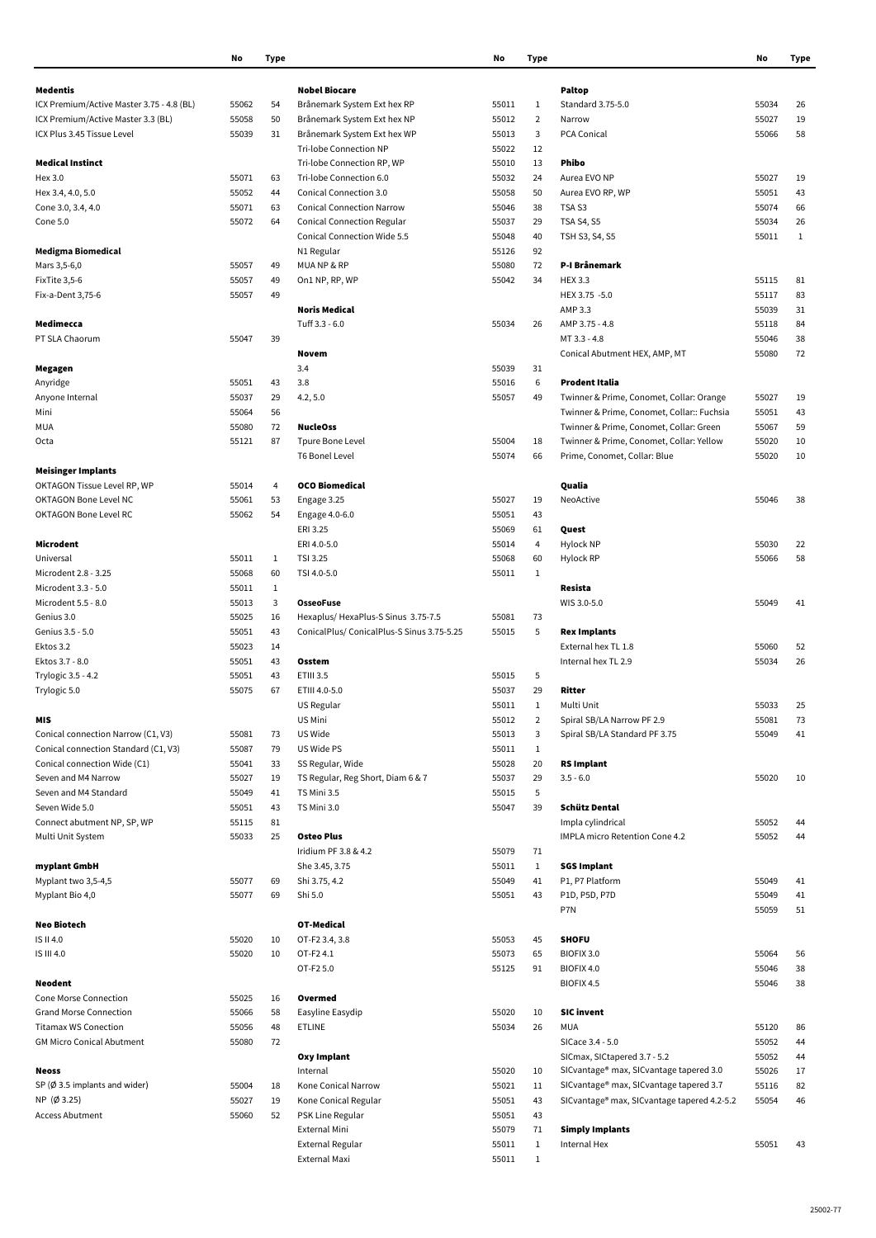|                                           | No    | <b>Type</b>  |                                           | No    | <b>Type</b>    |                                             | No    | <b>Type</b>  |
|-------------------------------------------|-------|--------------|-------------------------------------------|-------|----------------|---------------------------------------------|-------|--------------|
| Medentis                                  |       |              | <b>Nobel Biocare</b>                      |       |                | <b>Paltop</b>                               |       |              |
| ICX Premium/Active Master 3.75 - 4.8 (BL) | 55062 | 54           | Brånemark System Ext hex RP               | 55011 | 1              | Standard 3.75-5.0                           | 55034 | 26           |
| ICX Premium/Active Master 3.3 (BL)        | 55058 | 50           | Brånemark System Ext hex NP               | 55012 | $\overline{2}$ | Narrow                                      | 55027 | 19           |
| ICX Plus 3.45 Tissue Level                | 55039 | 31           | Brånemark System Ext hex WP               | 55013 | 3              | PCA Conical                                 | 55066 | 58           |
|                                           |       |              | Tri-lobe Connection NP                    | 55022 | 12             |                                             |       |              |
| <b>Medical Instinct</b>                   |       |              | Tri-lobe Connection RP, WP                | 55010 | 13             | <b>Phibo</b>                                |       |              |
| Hex 3.0                                   | 55071 | 63           | Tri-lobe Connection 6.0                   | 55032 | 24             | Aurea EVO NP                                | 55027 | 19           |
|                                           | 55052 |              | <b>Conical Connection 3.0</b>             |       |                |                                             |       |              |
| Hex 3.4, 4.0, 5.0                         |       | 44           |                                           | 55058 | 50             | Aurea EVO RP, WP                            | 55051 | 43           |
| Cone 3.0, 3.4, 4.0                        | 55071 | 63           | <b>Conical Connection Narrow</b>          | 55046 | 38             | TSA <sub>S3</sub>                           | 55074 | 66           |
| Cone 5.0                                  | 55072 | 64           | <b>Conical Connection Regular</b>         | 55037 | 29             | <b>TSA S4, S5</b>                           | 55034 | 26           |
|                                           |       |              | <b>Conical Connection Wide 5.5</b>        | 55048 | 40             | TSH S3, S4, S5                              | 55011 | $\mathbf{1}$ |
| <b>Medigma Biomedical</b>                 |       |              | N1 Regular                                | 55126 | 92             |                                             |       |              |
| Mars 3,5-6,0                              | 55057 | 49           | MUA NP & RP                               | 55080 | 72             | P-I Brånemark                               |       |              |
| FixTite 3,5-6                             | 55057 | 49           | On1 NP, RP, WP                            | 55042 | 34             | <b>HEX 3.3</b>                              | 55115 | 81           |
| Fix-a-Dent 3,75-6                         | 55057 | 49           |                                           |       |                | HEX 3.75 -5.0                               | 55117 | 83           |
|                                           |       |              | <b>Noris Medical</b>                      |       |                | AMP 3.3                                     | 55039 | 31           |
| Medimecca                                 |       |              | Tuff 3.3 - 6.0                            | 55034 | 26             | AMP 3.75 - 4.8                              | 55118 | 84           |
| PT SLA Chaorum                            | 55047 | 39           |                                           |       |                | MT 3.3 - 4.8                                | 55046 | 38           |
|                                           |       |              | <b>Novem</b>                              |       |                | Conical Abutment HEX, AMP, MT               | 55080 | 72           |
| Megagen                                   |       |              | 3.4                                       | 55039 | 31             |                                             |       |              |
| Anyridge                                  | 55051 | 43           | 3.8                                       | 55016 | 6              | Prodent Italia                              |       |              |
| Anyone Internal                           | 55037 | 29           | 4.2, 5.0                                  | 55057 | 49             | Twinner & Prime, Conomet, Collar: Orange    | 55027 | 19           |
| Mini                                      | 55064 | 56           |                                           |       |                | Twinner & Prime, Conomet, Collar:: Fuchsia  | 55051 | 43           |
| MUA                                       | 55080 | 72           | <b>NucleOss</b>                           |       |                | Twinner & Prime, Conomet, Collar: Green     | 55067 | 59           |
|                                           |       |              |                                           | 55004 |                |                                             |       |              |
| Octa                                      | 55121 | 87           | <b>Tpure Bone Level</b>                   |       | 18             | Twinner & Prime, Conomet, Collar: Yellow    | 55020 | 10           |
|                                           |       |              | <b>T6 Bonel Level</b>                     | 55074 | 66             | Prime, Conomet, Collar: Blue                | 55020 | 10           |
| <b>Meisinger Implants</b>                 |       |              |                                           |       |                |                                             |       |              |
| OKTAGON Tissue Level RP, WP               | 55014 | 4            | <b>OCO Biomedical</b>                     |       |                | Qualia                                      |       |              |
| <b>OKTAGON Bone Level NC</b>              | 55061 | 53           | Engage 3.25                               | 55027 | 19             | NeoActive                                   | 55046 | 38           |
| OKTAGON Bone Level RC                     | 55062 | 54           | Engage 4.0-6.0                            | 55051 | 43             |                                             |       |              |
|                                           |       |              | ERI 3.25                                  | 55069 | 61             | Quest                                       |       |              |
| Microdent                                 |       |              | ERI 4.0-5.0                               | 55014 | 4              | Hylock NP                                   | 55030 | 22           |
| Universal                                 | 55011 | 1            | TSI 3.25                                  | 55068 | 60             | Hylock RP                                   | 55066 | 58           |
| Microdent 2.8 - 3.25                      | 55068 | 60           | TSI 4.0-5.0                               | 55011 | $\mathbf{1}$   |                                             |       |              |
| Microdent 3.3 - 5.0                       | 55011 | $\mathbf{1}$ |                                           |       |                | Resista                                     |       |              |
| Microdent 5.5 - 8.0                       | 55013 | 3            | <b>OsseoFuse</b>                          |       |                | WIS 3.0-5.0                                 | 55049 | 41           |
| Genius 3.0                                | 55025 | 16           | Hexaplus/HexaPlus-S Sinus 3.75-7.5        | 55081 | 73             |                                             |       |              |
| Genius 3.5 - 5.0                          | 55051 | 43           | ConicalPlus/ConicalPlus-S Sinus 3.75-5.25 | 55015 | 5              | <b>Rex Implants</b>                         |       |              |
| Ektos 3.2                                 | 55023 | 14           |                                           |       |                | External hex TL 1.8                         | 55060 | 52           |
| Ektos 3.7 - 8.0                           | 55051 | 43           | Osstem                                    |       |                | Internal hex TL 2.9                         | 55034 | 26           |
| Trylogic 3.5 - 4.2                        | 55051 | 43           | <b>ETIII 3.5</b>                          | 55015 | 5              |                                             |       |              |
| Trylogic 5.0                              | 55075 | 67           | ETIII 4.0-5.0                             | 55037 | 29             | Ritter                                      |       |              |
|                                           |       |              | <b>US Regular</b>                         | 55011 | $\mathbf{1}$   | Multi Unit                                  | 55033 | 25           |
| <b>MIS</b>                                |       |              | US Mini                                   | 55012 |                | Spiral SB/LA Narrow PF 2.9                  | 55081 | 73           |
|                                           | 55081 |              |                                           |       | $\overline{2}$ |                                             |       |              |
| Conical connection Narrow (C1, V3)        |       | 73           | US Wide                                   | 55013 | 3              | Spiral SB/LA Standard PF 3.75               | 55049 | 41           |
| Conical connection Standard (C1, V3)      | 55087 | 79           | US Wide PS                                | 55011 | $\mathbf{1}$   |                                             |       |              |
| Conical connection Wide (C1)              | 55041 | 33           | SS Regular, Wide                          | 55028 | 20             | <b>RS Implant</b>                           |       |              |
| Seven and M4 Narrow                       | 55027 | 19           | TS Regular, Reg Short, Diam 6 & 7         | 55037 | 29             | $3.5 - 6.0$                                 | 55020 | 10           |
| Seven and M4 Standard                     | 55049 | 41           | TS Mini 3.5                               | 55015 | 5              |                                             |       |              |
| Seven Wide 5.0                            | 55051 | 43           | TS Mini 3.0                               | 55047 | 39             | <b>Schütz Dental</b>                        |       |              |
| Connect abutment NP, SP, WP               | 55115 | 81           |                                           |       |                | Impla cylindrical                           | 55052 | 44           |
| Multi Unit System                         | 55033 | 25           | <b>Osteo Plus</b>                         |       |                | <b>IMPLA micro Retention Cone 4.2</b>       | 55052 | 44           |
|                                           |       |              | Iridium PF 3.8 & 4.2                      | 55079 | 71             |                                             |       |              |
| myplant GmbH                              |       |              | She 3.45, 3.75                            | 55011 | $\mathbf{1}$   | <b>SGS Implant</b>                          |       |              |
| Myplant two 3,5-4,5                       | 55077 | 69           | Shi 3.75, 4.2                             | 55049 | 41             | P1, P7 Platform                             | 55049 | 41           |
| Myplant Bio 4,0                           | 55077 | 69           | Shi 5.0                                   | 55051 | 43             | P1D, P5D, P7D                               | 55049 | 41           |
|                                           |       |              |                                           |       |                | P7N                                         | 55059 | 51           |
| <b>Neo Biotech</b>                        |       |              | <b>OT-Medical</b>                         |       |                |                                             |       |              |
| IS II 4.0                                 | 55020 | 10           | OT-F2 3.4, 3.8                            | 55053 | 45             | <b>SHOFU</b>                                |       |              |
| IS III 4.0                                | 55020 | 10           | OT-F2 4.1                                 | 55073 | 65             | BIOFIX 3.0                                  | 55064 | 56           |
|                                           |       |              | OT-F2 5.0                                 | 55125 | 91             | BIOFIX 4.0                                  | 55046 | 38           |
| <b>Neodent</b>                            |       |              |                                           |       |                |                                             | 55046 |              |
|                                           |       |              |                                           |       |                | BIOFIX 4.5                                  |       | 38           |
| Cone Morse Connection                     | 55025 | 16           | Overmed                                   |       |                |                                             |       |              |
| <b>Grand Morse Connection</b>             | 55066 | 58           | Easyline Easydip                          | 55020 | 10             | <b>SIC invent</b>                           |       |              |
| <b>Titamax WS Conection</b>               | 55056 | 48           | <b>ETLINE</b>                             | 55034 | 26             | <b>MUA</b>                                  | 55120 | 86           |
| <b>GM Micro Conical Abutment</b>          | 55080 | 72           |                                           |       |                | SICace 3.4 - 5.0                            | 55052 | 44           |
|                                           |       |              | <b>Oxy Implant</b>                        |       |                | SICmax, SICtapered 3.7 - 5.2                | 55052 | 44           |
| <b>Neoss</b>                              |       |              | Internal                                  | 55020 | 10             | SICvantage® max, SICvantage tapered 3.0     | 55026 | 17           |
| SP ( $\emptyset$ 3.5 implants and wider)  | 55004 | 18           | Kone Conical Narrow                       | 55021 | 11             | SICvantage® max, SICvantage tapered 3.7     | 55116 | 82           |
| NP (Ø 3.25)                               | 55027 | 19           | Kone Conical Regular                      | 55051 | 43             | SICvantage® max, SICvantage tapered 4.2-5.2 | 55054 | 46           |
| <b>Access Abutment</b>                    | 55060 | 52           | PSK Line Regular                          | 55051 | 43             |                                             |       |              |
|                                           |       |              | External Mini                             | 55079 | 71             | <b>Simply Implants</b>                      |       |              |
|                                           |       |              | External Regular                          | 55011 | $\mathbf{1}$   | Internal Hex                                | 55051 | 43           |
|                                           |       |              | External Maxi                             | 55011 | $\mathbf{1}$   |                                             |       |              |